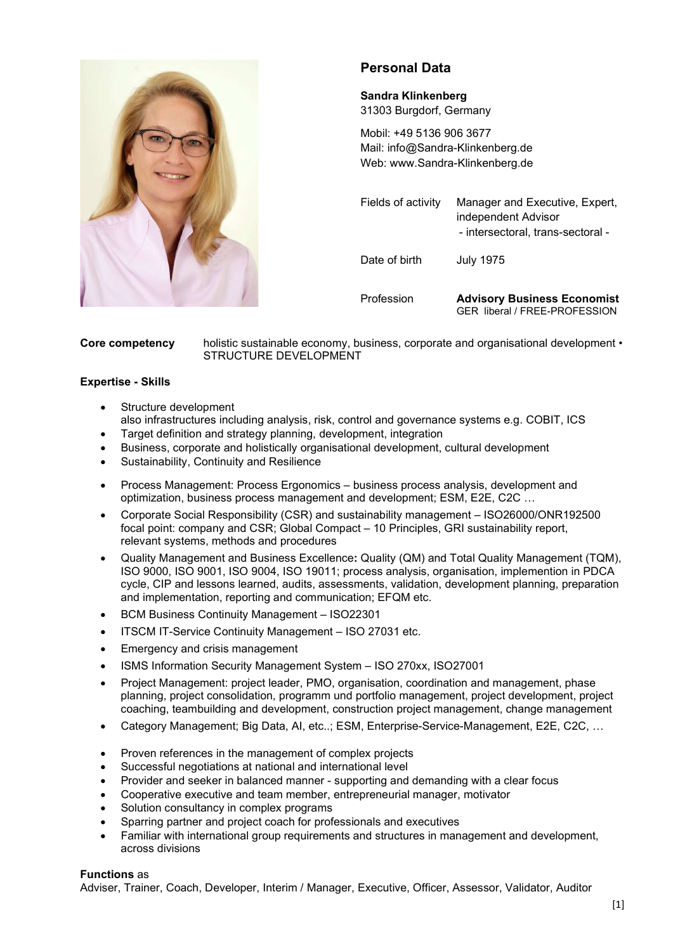

# Personal Data

# Sandra Klinkenberg

31303 Burgdorf, Germany

Mobil: +49 5136 906 3677 Mail: info@Sandra-Klinkenberg.de Web: www.Sandra-Klinkenberg.de

Fields of activity Manager and Executive, Expert, independent Advisor - intersectoral, trans-sectoral - Date of birth July 1975 Profession Advisory Business Economist

GER liberal / FREE-PROFESSION

Core competency holistic sustainable economy, business, corporate and organisational development • STRUCTURE DEVELOPMENT

### Expertise - Skills

- Structure development also infrastructures including analysis, risk, control and governance systems e.g. COBIT, ICS
- Target definition and strategy planning, development, integration
- Business, corporate and holistically organisational development, cultural development
- Sustainability, Continuity and Resilience
- Process Management: Process Ergonomics business process analysis, development and optimization, business process management and development; ESM, E2E, C2C …
- Corporate Social Responsibility (CSR) and sustainability management ISO26000/ONR192500 focal point: company and CSR; Global Compact – 10 Principles, GRI sustainability report, relevant systems, methods and procedures
- Quality Management and Business Excellence: Quality (QM) and Total Quality Management (TQM), ISO 9000, ISO 9001, ISO 9004, ISO 19011; process analysis, organisation, implemention in PDCA cycle, CIP and lessons learned, audits, assessments, validation, development planning, preparation and implementation, reporting and communication; EFQM etc.
- BCM Business Continuity Management ISO22301
- ITSCM IT-Service Continuity Management ISO 27031 etc.
- Emergency and crisis management
- ISMS Information Security Management System ISO 270xx, ISO27001
- Project Management: project leader, PMO, organisation, coordination and management, phase planning, project consolidation, programm und portfolio management, project development, project coaching, teambuilding and development, construction project management, change management
- Category Management; Big Data, AI, etc..; ESM, Enterprise-Service-Management, E2E, C2C, …
- Proven references in the management of complex projects
- Successful negotiations at national and international level
- Provider and seeker in balanced manner supporting and demanding with a clear focus
- Cooperative executive and team member, entrepreneurial manager, motivator
- Solution consultancy in complex programs
- Sparring partner and project coach for professionals and executives
- Familiar with international group requirements and structures in management and development, across divisions

#### Functions as

Adviser, Trainer, Coach, Developer, Interim / Manager, Executive, Officer, Assessor, Validator, Auditor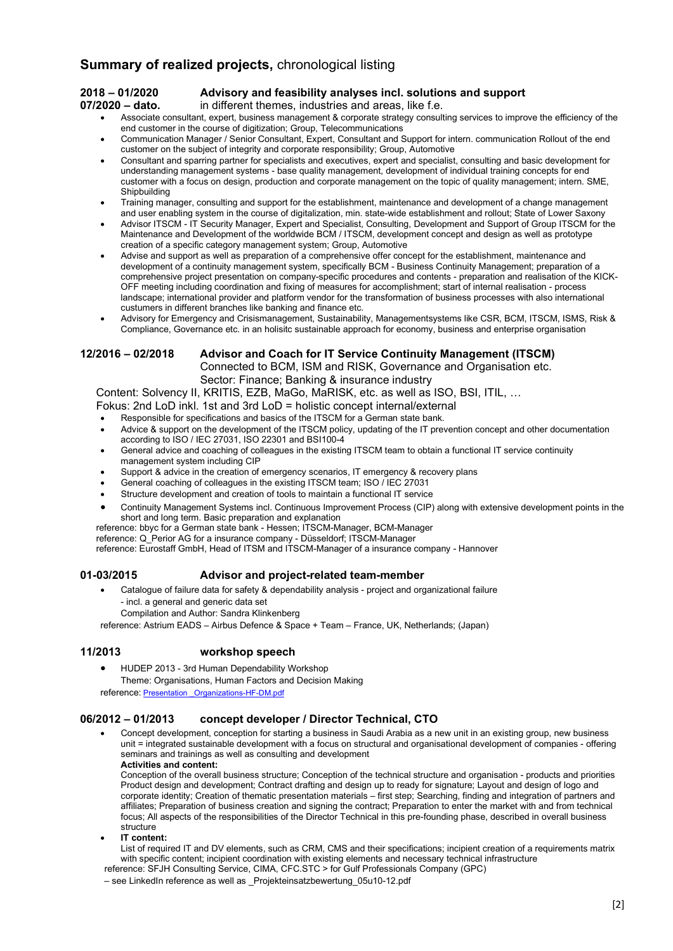# Summary of realized projects, chronological listing

#### 2018 – 01/2020 Advisory and feasibility analyses incl. solutions and support

07/2020 – dato. in different themes, industries and areas, like f.e.

- Associate consultant, expert, business management & corporate strategy consulting services to improve the efficiency of the end customer in the course of digitization; Group, Telecommunications
- Communication Manager / Senior Consultant, Expert, Consultant and Support for intern. communication Rollout of the end customer on the subject of integrity and corporate responsibility; Group, Automotive
- Consultant and sparring partner for specialists and executives, expert and specialist, consulting and basic development for understanding management systems - base quality management, development of individual training concepts for end customer with a focus on design, production and corporate management on the topic of quality management; intern. SME, **Shipbuilding**
- Training manager, consulting and support for the establishment, maintenance and development of a change management and user enabling system in the course of digitalization, min. state-wide establishment and rollout; State of Lower Saxony
- Advisor ITSCM IT Security Manager, Expert and Specialist, Consulting, Development and Support of Group ITSCM for the Maintenance and Development of the worldwide BCM / ITSCM, development concept and design as well as prototype creation of a specific category management system; Group, Automotive
- Advise and support as well as preparation of a comprehensive offer concept for the establishment, maintenance and development of a continuity management system, specifically BCM - Business Continuity Management; preparation of a comprehensive project presentation on company-specific procedures and contents - preparation and realisation of the KICK-OFF meeting including coordination and fixing of measures for accomplishment; start of internal realisation - process landscape; international provider and platform vendor for the transformation of business processes with also international custumers in different branches like banking and finance etc.
- Advisory for Emergency and Crisismanagement, Sustainability, Managementsystems like CSR, BCM, ITSCM, ISMS, Risk & Compliance, Governance etc. in an holisitc sustainable approach for economy, business and enterprise organisation

#### 12/2016 – 02/2018 Advisor and Coach for IT Service Continuity Management (ITSCM)

Connected to BCM, ISM and RISK, Governance and Organisation etc. Sector: Finance; Banking & insurance industry

Content: Solvency II, KRITIS, EZB, MaGo, MaRISK, etc. as well as ISO, BSI, ITIL, …

- Fokus: 2nd LoD inkl. 1st and 3rd LoD = holistic concept internal/external
- Responsible for specifications and basics of the ITSCM for a German state bank.
- Advice & support on the development of the ITSCM policy, updating of the IT prevention concept and other documentation according to ISO / IEC 27031, ISO 22301 and BSI100-4
- General advice and coaching of colleagues in the existing ITSCM team to obtain a functional IT service continuity management system including CIP
- Support & advice in the creation of emergency scenarios, IT emergency & recovery plans
- General coaching of colleagues in the existing ITSCM team; ISO / IEC 27031
- Structure development and creation of tools to maintain a functional IT service
- Continuity Management Systems incl. Continuous Improvement Process (CIP) along with extensive development points in the short and long term. Basic preparation and explanation

reference: bbyc for a German state bank - Hessen; ITSCM-Manager, BCM-Manager

reference: Q\_Perior AG for a insurance company - Düsseldorf; ITSCM-Manager

reference: Eurostaff GmbH, Head of ITSM and ITSCM-Manager of a insurance company - Hannover

#### 01-03/2015 Advisor and project-related team-member

 Catalogue of failure data for safety & dependability analysis - project and organizational failure - incl. a general and generic data set Compilation and Author: Sandra Klinkenberg

reference: Astrium EADS – Airbus Defence & Space + Team – France, UK, Netherlands; (Japan)

#### 11/2013 workshop speech

- HUDEP 2013 3rd Human Dependability Workshop
- Theme: Organisations, Human Factors and Decision Making

reference: Presentation \_Organizations-HF-DM.pdf

#### 06/2012 – 01/2013 concept developer / Director Technical, CTO

 Concept development, conception for starting a business in Saudi Arabia as a new unit in an existing group, new business unit = integrated sustainable development with a focus on structural and organisational development of companies - offering seminars and trainings as well as consulting and development Activities and content:

Conception of the overall business structure; Conception of the technical structure and organisation - products and priorities Product design and development; Contract drafting and design up to ready for signature; Layout and design of logo and corporate identity; Creation of thematic presentation materials – first step; Searching, finding and integration of partners and affiliates; Preparation of business creation and signing the contract; Preparation to enter the market with and from technical focus; All aspects of the responsibilities of the Director Technical in this pre-founding phase, described in overall business structure

IT content:

List of required IT and DV elements, such as CRM, CMS and their specifications; incipient creation of a requirements matrix with specific content; incipient coordination with existing elements and necessary technical infrastructure reference: SFJH Consulting Service, CIMA, CFC.STC > for Gulf Professionals Company (GPC)

– see LinkedIn reference as well as \_Projekteinsatzbewertung\_05u10-12.pdf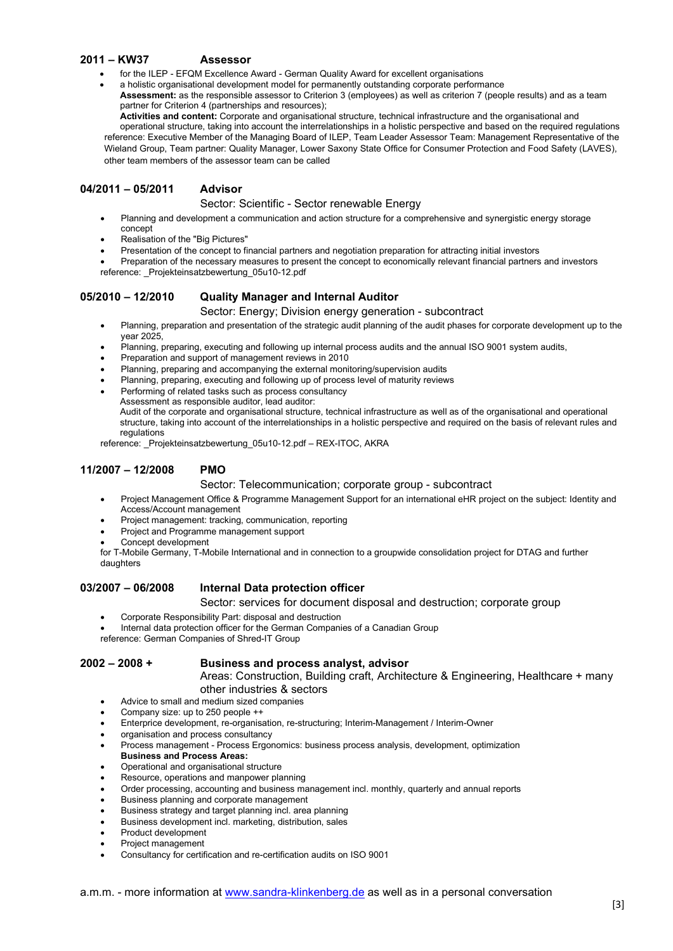#### 2011 – KW37 Assessor

- for the ILEP EFQM Excellence Award German Quality Award for excellent organisations
- a holistic organisational development model for permanently outstanding corporate performance Assessment: as the responsible assessor to Criterion 3 (employees) as well as criterion 7 (people results) and as a team
- partner for Criterion 4 (partnerships and resources);

Activities and content: Corporate and organisational structure, technical infrastructure and the organisational and operational structure, taking into account the interrelationships in a holistic perspective and based on the required regulations reference: Executive Member of the Managing Board of ILEP, Team Leader Assessor Team: Management Representative of the Wieland Group, Team partner: Quality Manager, Lower Saxony State Office for Consumer Protection and Food Safety (LAVES), other team members of the assessor team can be called

#### 04/2011 – 05/2011 Advisor

#### Sector: Scientific - Sector renewable Energy

- Planning and development a communication and action structure for a comprehensive and synergistic energy storage concept
- Realisation of the "Big Pictures"
- Presentation of the concept to financial partners and negotiation preparation for attracting initial investors

 Preparation of the necessary measures to present the concept to economically relevant financial partners and investors reference: Projekteinsatzbewertung 05u10-12.pdf

#### 05/2010 – 12/2010 Quality Manager and Internal Auditor

Sector: Energy; Division energy generation - subcontract

- Planning, preparation and presentation of the strategic audit planning of the audit phases for corporate development up to the year 2025,
- Planning, preparing, executing and following up internal process audits and the annual ISO 9001 system audits,
- Preparation and support of management reviews in 2010
- Planning, preparing and accompanying the external monitoring/supervision audits
- Planning, preparing, executing and following up of process level of maturity reviews
- Performing of related tasks such as process consultancy Assessment as responsible auditor, lead auditor: Audit of the corporate and organisational structure, technical infrastructure as well as of the organisational and operational structure, taking into account of the interrelationships in a holistic perspective and required on the basis of relevant rules and regulations

reference: Projekteinsatzbewertung 05u10-12.pdf – REX-ITOC, AKRA

#### 11/2007 – 12/2008 PMO

#### Sector: Telecommunication; corporate group - subcontract

- Project Management Office & Programme Management Support for an international eHR project on the subject: Identity and Access/Account management
- Project management: tracking, communication, reporting
- Project and Programme management support
- Concept development

for T-Mobile Germany, T-Mobile International and in connection to a groupwide consolidation project for DTAG and further daughters

### 03/2007 – 06/2008 Internal Data protection officer

#### Sector: services for document disposal and destruction; corporate group

- Corporate Responsibility Part: disposal and destruction
	- Internal data protection officer for the German Companies of a Canadian Group
- reference: German Companies of Shred-IT Group

#### 2002 – 2008 + Business and process analyst, advisor

Areas: Construction, Building craft, Architecture & Engineering, Healthcare + many other industries & sectors

- Advice to small and medium sized companies
- Company size: up to 250 people ++
- Enterprice development, re-organisation, re-structuring; Interim-Management / Interim-Owner
- organisation and process consultancy
- Process management Process Ergonomics: business process analysis, development, optimization Business and Process Areas:
- Operational and organisational structure
- Resource, operations and manpower planning
- Order processing, accounting and business management incl. monthly, quarterly and annual reports
- Business planning and corporate management
- Business strategy and target planning incl. area planning
- Business development incl. marketing, distribution, sales
- Product development
- Project management
- Consultancy for certification and re-certification audits on ISO 9001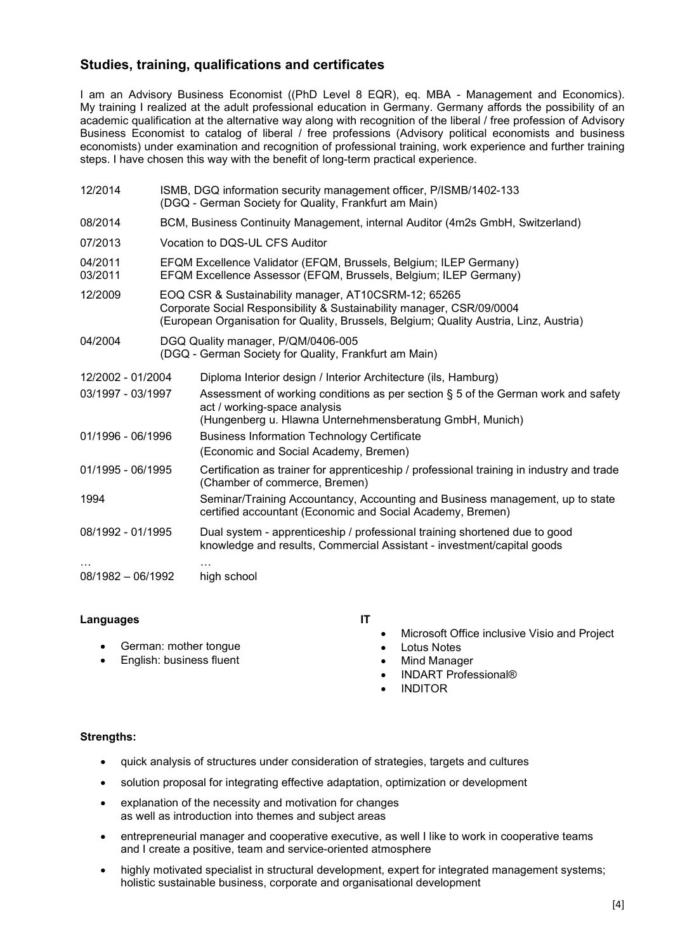# Studies, training, qualifications and certificates

I am an Advisory Business Economist ((PhD Level 8 EQR), eq. MBA - Management and Economics). My training I realized at the adult professional education in Germany. Germany affords the possibility of an academic qualification at the alternative way along with recognition of the liberal / free profession of Advisory Business Economist to catalog of liberal / free professions (Advisory political economists and business economists) under examination and recognition of professional training, work experience and further training steps. I have chosen this way with the benefit of long-term practical experience.

| 12/2014             | ISMB, DGQ information security management officer, P/ISMB/1402-133<br>(DGQ - German Society for Quality, Frankfurt am Main)                                                                                             |                                                                                                                                                                                  |
|---------------------|-------------------------------------------------------------------------------------------------------------------------------------------------------------------------------------------------------------------------|----------------------------------------------------------------------------------------------------------------------------------------------------------------------------------|
| 08/2014             | BCM, Business Continuity Management, internal Auditor (4m2s GmbH, Switzerland)                                                                                                                                          |                                                                                                                                                                                  |
| 07/2013             | Vocation to DQS-UL CFS Auditor                                                                                                                                                                                          |                                                                                                                                                                                  |
| 04/2011<br>03/2011  | EFQM Excellence Validator (EFQM, Brussels, Belgium; ILEP Germany)<br>EFQM Excellence Assessor (EFQM, Brussels, Belgium; ILEP Germany)                                                                                   |                                                                                                                                                                                  |
| 12/2009             | EOQ CSR & Sustainability manager, AT10CSRM-12; 65265<br>Corporate Social Responsibility & Sustainability manager, CSR/09/0004<br>(European Organisation for Quality, Brussels, Belgium; Quality Austria, Linz, Austria) |                                                                                                                                                                                  |
| 04/2004             |                                                                                                                                                                                                                         | DGQ Quality manager, P/QM/0406-005<br>(DGQ - German Society for Quality, Frankfurt am Main)                                                                                      |
| 12/2002 - 01/2004   |                                                                                                                                                                                                                         | Diploma Interior design / Interior Architecture (ils, Hamburg)                                                                                                                   |
| 03/1997 - 03/1997   |                                                                                                                                                                                                                         | Assessment of working conditions as per section $\S$ 5 of the German work and safety<br>act / working-space analysis<br>(Hungenberg u. Hlawna Unternehmensberatung GmbH, Munich) |
| 01/1996 - 06/1996   |                                                                                                                                                                                                                         | <b>Business Information Technology Certificate</b><br>(Economic and Social Academy, Bremen)                                                                                      |
| 01/1995 - 06/1995   |                                                                                                                                                                                                                         | Certification as trainer for apprenticeship / professional training in industry and trade<br>(Chamber of commerce, Bremen)                                                       |
| 1994                |                                                                                                                                                                                                                         | Seminar/Training Accountancy, Accounting and Business management, up to state<br>certified accountant (Economic and Social Academy, Bremen)                                      |
| 08/1992 - 01/1995   |                                                                                                                                                                                                                         | Dual system - apprenticeship / professional training shortened due to good<br>knowledge and results, Commercial Assistant - investment/capital goods                             |
| $08/1982 - 06/1992$ |                                                                                                                                                                                                                         | high school                                                                                                                                                                      |

#### Languages

 German: mother tongue English: business fluent

IT

- Microsoft Office inclusive Visio and Project
- Lotus Notes
- Mind Manager
- INDART Professional®
- INDITOR

#### Strengths:

- quick analysis of structures under consideration of strategies, targets and cultures
- solution proposal for integrating effective adaptation, optimization or development
- explanation of the necessity and motivation for changes as well as introduction into themes and subject areas
- entrepreneurial manager and cooperative executive, as well I like to work in cooperative teams and I create a positive, team and service-oriented atmosphere
- highly motivated specialist in structural development, expert for integrated management systems; holistic sustainable business, corporate and organisational development